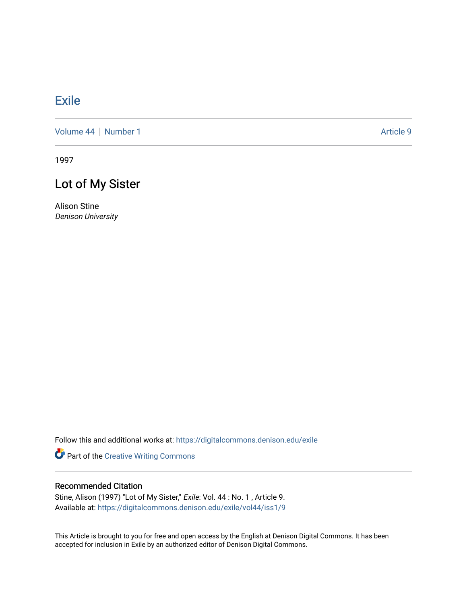## [Exile](https://digitalcommons.denison.edu/exile)

[Volume 44](https://digitalcommons.denison.edu/exile/vol44) | [Number 1](https://digitalcommons.denison.edu/exile/vol44/iss1) Article 9

1997

# Lot of My Sister

Alison Stine Denison University

Follow this and additional works at: [https://digitalcommons.denison.edu/exile](https://digitalcommons.denison.edu/exile?utm_source=digitalcommons.denison.edu%2Fexile%2Fvol44%2Fiss1%2F9&utm_medium=PDF&utm_campaign=PDFCoverPages) 

Part of the [Creative Writing Commons](http://network.bepress.com/hgg/discipline/574?utm_source=digitalcommons.denison.edu%2Fexile%2Fvol44%2Fiss1%2F9&utm_medium=PDF&utm_campaign=PDFCoverPages) 

### Recommended Citation

Stine, Alison (1997) "Lot of My Sister," Exile: Vol. 44: No. 1, Article 9. Available at: [https://digitalcommons.denison.edu/exile/vol44/iss1/9](https://digitalcommons.denison.edu/exile/vol44/iss1/9?utm_source=digitalcommons.denison.edu%2Fexile%2Fvol44%2Fiss1%2F9&utm_medium=PDF&utm_campaign=PDFCoverPages) 

This Article is brought to you for free and open access by the English at Denison Digital Commons. It has been accepted for inclusion in Exile by an authorized editor of Denison Digital Commons.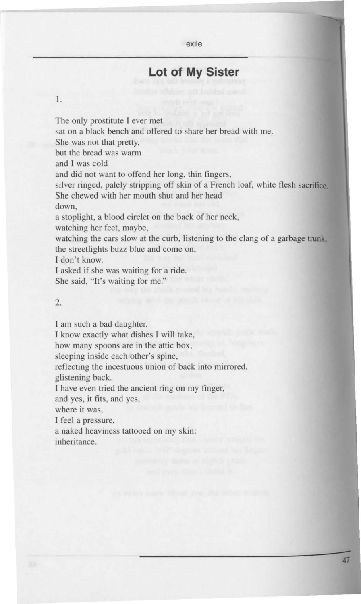#### exile

## **Lot of My Sister**

#### I.

The only prostitute I ever met

sat on a black bench and offered to share her bread with me.

She was not that pretty,

but the bread was warm

and I was cold

and did not want to offend her long, thin fingers,

silver ringed, palely stripping off skin of a French loaf, white flesh sacrifice. She chewed with her mouth shut and her head

down,

a stoplight, a blood circlet on the back of her neck,

watching her feet, maybe,

watching the cars slow at the curb, listening to the clang of a garbage **trunk,**  the streetlights buzz blue and come on,

I don 't know.

I asked if she was waiting for a ride.

She said, "It's waiting for me."

#### 2.

I am such a bad daughter.

I know exactly what dishes I will take,

how many spoons are in the attic box,

sleeping inside each other's spine,

reflecting the incestuous union of back into mirrored,

glistening back.

I have even tried the ancient ring on my finger,

and yes, it fits, and yes,

where it was,

I feel a pressure,

a naked heaviness tattooed on my skin: inheritance.